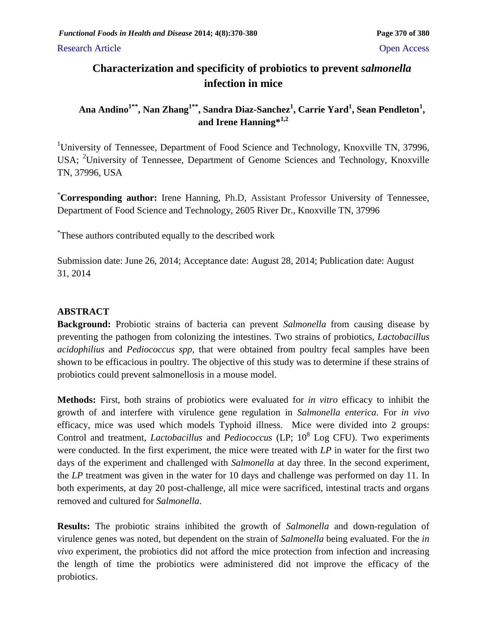Research Article **Open Access** 

# **Characterization and specificity of probiotics to prevent** *salmonella* **infection in mice**

**Ana Andino1\*\* , Nan Zhang1\*\* , Sandra Diaz-Sanchez<sup>1</sup> , Carrie Yard<sup>1</sup> , Sean Pendleton<sup>1</sup> , and Irene Hanning\*1,2**

<sup>1</sup>University of Tennessee, Department of Food Science and Technology, Knoxville TN, 37996, USA; <sup>2</sup>University of Tennessee, Department of Genome Sciences and Technology, Knoxville TN, 37996, USA

\***Corresponding author:** Irene Hanning, Ph.D, Assistant Professor University of Tennessee, Department of Food Science and Technology, 2605 River Dr., Knoxville TN, 37996

\* These authors contributed equally to the described work

Submission date: June 26, 2014; Acceptance date: August 28, 2014; Publication date: August 31, 2014

## **ABSTRACT**

**Background:** Probiotic strains of bacteria can prevent *Salmonella* from causing disease by preventing the pathogen from colonizing the intestines. Two strains of probiotics, *Lactobacillus acidophilius* and *Pediococcus spp,* that were obtained from poultry fecal samples have been shown to be efficacious in poultry*.* The objective of this study was to determine if these strains of probiotics could prevent salmonellosis in a mouse model.

**Methods:** First, both strains of probiotics were evaluated for *in vitro* efficacy to inhibit the growth of and interfere with virulence gene regulation in *Salmonella enterica*. For *in vivo* efficacy, mice was used which models Typhoid illness. Mice were divided into 2 groups: Control and treatment, *Lactobacillus* and *Pediococcus* (LP; 10<sup>8</sup> Log CFU). Two experiments were conducted. In the first experiment, the mice were treated with *LP* in water for the first two days of the experiment and challenged with *Salmonella* at day three. In the second experiment, the *LP* treatment was given in the water for 10 days and challenge was performed on day 11. In both experiments, at day 20 post-challenge, all mice were sacrificed, intestinal tracts and organs removed and cultured for *Salmonella*.

**Results:** The probiotic strains inhibited the growth of *Salmonella* and down-regulation of virulence genes was noted, but dependent on the strain of *Salmonella* being evaluated. For the *in vivo* experiment, the probiotics did not afford the mice protection from infection and increasing the length of time the probiotics were administered did not improve the efficacy of the probiotics.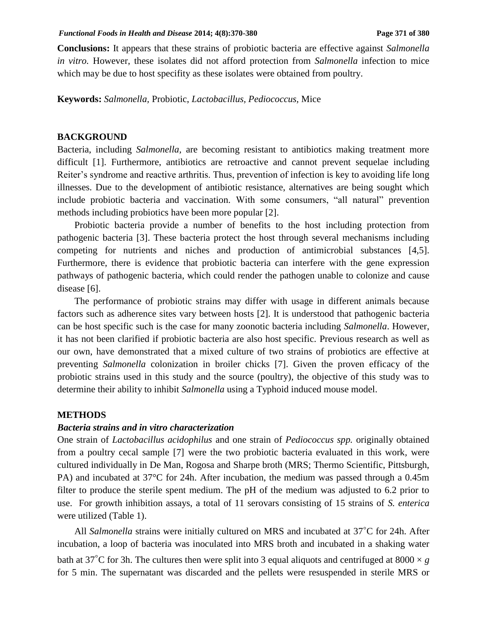**Conclusions:** It appears that these strains of probiotic bacteria are effective against *Salmonella in vitro.* However, these isolates did not afford protection from *Salmonella* infection to mice which may be due to host specifity as these isolates were obtained from poultry.

**Keywords:** *Salmonella,* Probiotic, *Lactobacillus, Pediococcus,* Mice

### **BACKGROUND**

Bacteria, including *Salmonella,* are becoming resistant to antibiotics making treatment more difficult [1]. Furthermore, antibiotics are retroactive and cannot prevent sequelae including Reiter's syndrome and reactive arthritis. Thus, prevention of infection is key to avoiding life long illnesses. Due to the development of antibiotic resistance, alternatives are being sought which include probiotic bacteria and vaccination. With some consumers, "all natural" prevention methods including probiotics have been more popular [2].

Probiotic bacteria provide a number of benefits to the host including protection from pathogenic bacteria [3]. These bacteria protect the host through several mechanisms including competing for nutrients and niches and production of antimicrobial substances [4,5]. Furthermore, there is evidence that probiotic bacteria can interfere with the gene expression pathways of pathogenic bacteria, which could render the pathogen unable to colonize and cause disease [6].

The performance of probiotic strains may differ with usage in different animals because factors such as adherence sites vary between hosts [2]. It is understood that pathogenic bacteria can be host specific such is the case for many zoonotic bacteria including *Salmonella*. However, it has not been clarified if probiotic bacteria are also host specific. Previous research as well as our own, have demonstrated that a mixed culture of two strains of probiotics are effective at preventing *Salmonella* colonization in broiler chicks [7]. Given the proven efficacy of the probiotic strains used in this study and the source (poultry), the objective of this study was to determine their ability to inhibit *Salmonella* using a Typhoid induced mouse model.

#### **METHODS**

#### *Bacteria strains and in vitro characterization*

One strain of *Lactobacillus acidophilus* and one strain of *Pediococcus spp.* originally obtained from a poultry cecal sample [7] were the two probiotic bacteria evaluated in this work*,* were cultured individually in De Man, Rogosa and Sharpe broth (MRS; Thermo Scientific, Pittsburgh, PA) and incubated at 37°C for 24h. After incubation, the medium was passed through a 0.45m filter to produce the sterile spent medium. The pH of the medium was adjusted to 6.2 prior to use. For growth inhibition assays, a total of 11 serovars consisting of 15 strains of *S. enterica*  were utilized (Table 1).

All *Salmonella* strains were initially cultured on MRS and incubated at 37◦C for 24h. After incubation, a loop of bacteria was inoculated into MRS broth and incubated in a shaking water bath at 37<sup>°</sup>C for 3h. The cultures then were split into 3 equal aliquots and centrifuged at 8000  $\times$  *g* for 5 min. The supernatant was discarded and the pellets were resuspended in sterile MRS or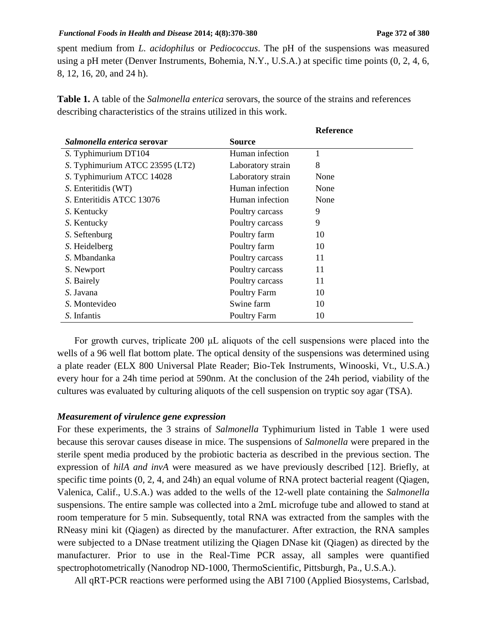#### *Functional Foods in Health and Disease* 2014; 4(8):370-380 **Page 372** of 380

spent medium from *L. acidophilus* or *Pediococcus*. The pH of the suspensions was measured using a pH meter (Denver Instruments, Bohemia, N.Y., U.S.A.) at specific time points (0, 2, 4, 6, 8, 12, 16, 20, and 24 h).

|                                    |                   | <b>Reference</b> |
|------------------------------------|-------------------|------------------|
| <i>Salmonella enterica serovar</i> | Source            |                  |
| S. Typhimurium DT104               | Human infection   | 1                |
| S. Typhimurium ATCC 23595 (LT2)    | Laboratory strain | 8                |
| S. Typhimurium ATCC 14028          | Laboratory strain | None             |
| S. Enteritidis (WT)                | Human infection   | None             |
| S. Enteritidis ATCC 13076          | Human infection   | None             |
| S. Kentucky                        | Poultry carcass   | 9                |
| S. Kentucky                        | Poultry carcass   | 9                |
| S. Seftenburg                      | Poultry farm      | 10               |
| S. Heidelberg                      | Poultry farm      | 10               |
| S. Mbandanka                       | Poultry carcass   | 11               |
| S. Newport                         | Poultry carcass   | 11               |
| S. Bairely                         | Poultry carcass   | 11               |
| S. Javana                          | Poultry Farm      | 10               |
| S. Montevideo                      | Swine farm        | 10               |
| S. Infantis                        | Poultry Farm      | 10               |

**Table 1.** A table of the *Salmonella enterica* serovars, the source of the strains and references describing characteristics of the strains utilized in this work.

For growth curves, triplicate 200 μL aliquots of the cell suspensions were placed into the wells of a 96 well flat bottom plate. The optical density of the suspensions was determined using a plate reader (ELX 800 Universal Plate Reader; Bio-Tek Instruments, Winooski, Vt., U.S.A.) every hour for a 24h time period at 590nm. At the conclusion of the 24h period, viability of the cultures was evaluated by culturing aliquots of the cell suspension on tryptic soy agar (TSA).

### *Measurement of virulence gene expression*

For these experiments, the 3 strains of *Salmonella* Typhimurium listed in Table 1 were used because this serovar causes disease in mice. The suspensions of *Salmonella* were prepared in the sterile spent media produced by the probiotic bacteria as described in the previous section. The expression of *hilA and invA* were measured as we have previously described [12]. Briefly, at specific time points  $(0, 2, 4, \text{ and } 24h)$  an equal volume of RNA protect bacterial reagent (Qiagen, Valenica, Calif., U.S.A.) was added to the wells of the 12-well plate containing the *Salmonella*  suspensions. The entire sample was collected into a 2mL microfuge tube and allowed to stand at room temperature for 5 min. Subsequently, total RNA was extracted from the samples with the RNeasy mini kit (Qiagen) as directed by the manufacturer. After extraction, the RNA samples were subjected to a DNase treatment utilizing the Qiagen DNase kit (Qiagen) as directed by the manufacturer. Prior to use in the Real-Time PCR assay, all samples were quantified spectrophotometrically (Nanodrop ND-1000, ThermoScientific, Pittsburgh, Pa., U.S.A.).

All qRT-PCR reactions were performed using the ABI 7100 (Applied Biosystems, Carlsbad,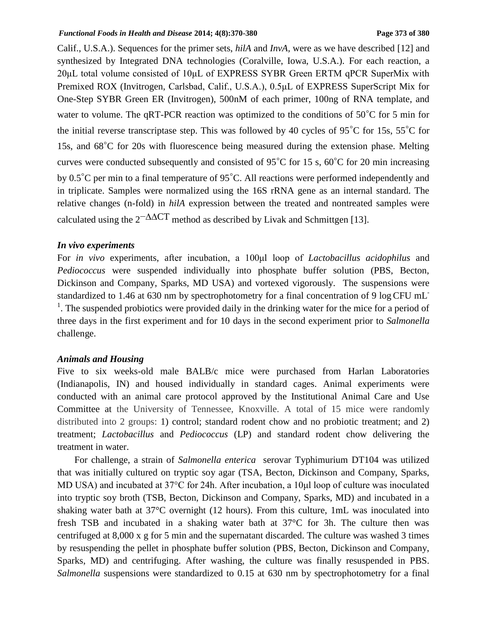#### *Functional Foods in Health and Disease* 2014; 4(8):370-380 **Page 373** of 380

Calif., U.S.A.). Sequences for the primer sets, *hilA* and *InvA,* were as we have described [12] and synthesized by Integrated DNA technologies (Coralville, Iowa, U.S.A.). For each reaction, a 20μL total volume consisted of 10μL of EXPRESS SYBR Green ERTM qPCR SuperMix with Premixed ROX (Invitrogen, Carlsbad, Calif., U.S.A.), 0.5μL of EXPRESS SuperScript Mix for One-Step SYBR Green ER (Invitrogen), 500nM of each primer, 100ng of RNA template, and water to volume. The qRT-PCR reaction was optimized to the conditions of 50◦C for 5 min for the initial reverse transcriptase step. This was followed by 40 cycles of 95◦C for 15s, 55◦C for 15s, and 68◦C for 20s with fluorescence being measured during the extension phase. Melting curves were conducted subsequently and consisted of 95◦C for 15 s, 60◦C for 20 min increasing by 0.5◦C per min to a final temperature of 95◦C. All reactions were performed independently and in triplicate. Samples were normalized using the 16S rRNA gene as an internal standard. The relative changes (n-fold) in *hilA* expression between the treated and nontreated samples were calculated using the  $2^{-\Delta\Delta}$ CT method as described by Livak and Schmittgen [13].

### *In vivo experiments*

For *in vivo* experiments, after incubation, a 100μl loop of *Lactobacillus acidophilus* and *Pediococcus* were suspended individually into phosphate buffer solution (PBS, Becton, Dickinson and Company, Sparks, MD USA) and vortexed vigorously. The suspensions were standardized to 1.46 at 630 nm by spectrophotometry for a final concentration of 9 log CFU mL <sup>1</sup>. The suspended probiotics were provided daily in the drinking water for the mice for a period of three days in the first experiment and for 10 days in the second experiment prior to *Salmonella* challenge.

### *Animals and Housing*

Five to six weeks-old male BALB/c mice were purchased from Harlan Laboratories (Indianapolis, IN) and housed individually in standard cages. Animal experiments were conducted with an animal care protocol approved by the Institutional Animal Care and Use Committee at the University of Tennessee, Knoxville. A total of 15 mice were randomly distributed into 2 groups: 1) control; standard rodent chow and no probiotic treatment; and 2) treatment; *Lactobacillus* and *Pediococcus* (LP) and standard rodent chow delivering the treatment in water.

For challenge, a strain of *Salmonella enterica* serovar Typhimurium DT104 was utilized that was initially cultured on tryptic soy agar (TSA, Becton, Dickinson and Company, Sparks, MD USA) and incubated at 37°C for 24h. After incubation, a 10μl loop of culture was inoculated into tryptic soy broth (TSB, Becton, Dickinson and Company, Sparks, MD) and incubated in a shaking water bath at 37°C overnight (12 hours). From this culture, 1mL was inoculated into fresh TSB and incubated in a shaking water bath at 37°C for 3h. The culture then was centrifuged at 8,000 x g for 5 min and the supernatant discarded. The culture was washed 3 times by resuspending the pellet in phosphate buffer solution (PBS, Becton, Dickinson and Company, Sparks, MD) and centrifuging. After washing, the culture was finally resuspended in PBS. *Salmonella* suspensions were standardized to 0.15 at 630 nm by spectrophotometry for a final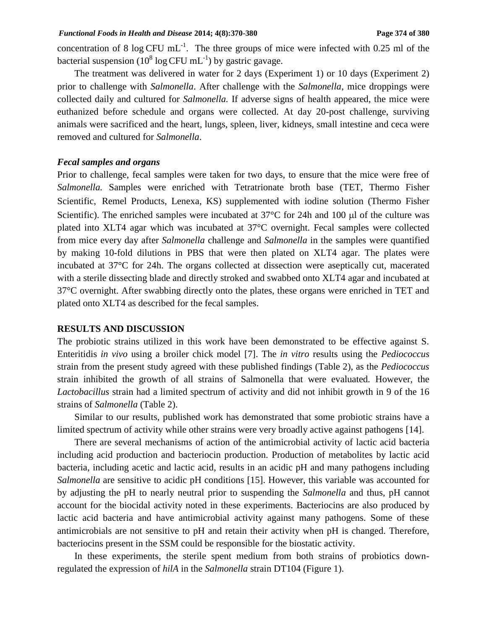concentration of 8 log CFU mL<sup>-1</sup>. The three groups of mice were infected with 0.25 ml of the bacterial suspension (10<sup>8</sup> log CFU mL<sup>-1</sup>) by gastric gavage.

The treatment was delivered in water for 2 days (Experiment 1) or 10 days (Experiment 2) prior to challenge with *Salmonella*. After challenge with the *Salmonella*, mice droppings were collected daily and cultured for *Salmonella.* If adverse signs of health appeared, the mice were euthanized before schedule and organs were collected. At day 20-post challenge, surviving animals were sacrificed and the heart, lungs, spleen, liver, kidneys, small intestine and ceca were removed and cultured for *Salmonella*.

### *Fecal samples and organs*

Prior to challenge, fecal samples were taken for two days, to ensure that the mice were free of *Salmonella.* Samples were enriched with Tetratrionate broth base (TET, Thermo Fisher Scientific, Remel Products, Lenexa, KS) supplemented with iodine solution (Thermo Fisher Scientific). The enriched samples were incubated at  $37^{\circ}$ C for 24h and 100 µl of the culture was plated into XLT4 agar which was incubated at 37°C overnight. Fecal samples were collected from mice every day after *Salmonella* challenge and *Salmonella* in the samples were quantified by making 10-fold dilutions in PBS that were then plated on XLT4 agar. The plates were incubated at 37°C for 24h. The organs collected at dissection were aseptically cut, macerated with a sterile dissecting blade and directly stroked and swabbed onto XLT4 agar and incubated at 37°C overnight. After swabbing directly onto the plates, these organs were enriched in TET and plated onto XLT4 as described for the fecal samples.

#### **RESULTS AND DISCUSSION**

The probiotic strains utilized in this work have been demonstrated to be effective against S. Enteritidis *in vivo* using a broiler chick model [7]. The *in vitro* results using the *Pediococcus*  strain from the present study agreed with these published findings (Table 2), as the *Pediococcus* strain inhibited the growth of all strains of Salmonella that were evaluated. However, the *Lactobacillus* strain had a limited spectrum of activity and did not inhibit growth in 9 of the 16 strains of *Salmonella* (Table 2).

Similar to our results, published work has demonstrated that some probiotic strains have a limited spectrum of activity while other strains were very broadly active against pathogens [14].

There are several mechanisms of action of the antimicrobial activity of lactic acid bacteria including acid production and bacteriocin production. Production of metabolites by lactic acid bacteria, including acetic and lactic acid, results in an acidic pH and many pathogens including *Salmonella* are sensitive to acidic pH conditions [15]. However, this variable was accounted for by adjusting the pH to nearly neutral prior to suspending the *Salmonella* and thus, pH cannot account for the biocidal activity noted in these experiments. Bacteriocins are also produced by lactic acid bacteria and have antimicrobial activity against many pathogens. Some of these antimicrobials are not sensitive to pH and retain their activity when pH is changed. Therefore, bacteriocins present in the SSM could be responsible for the biostatic activity.

In these experiments, the sterile spent medium from both strains of probiotics downregulated the expression of *hilA* in the *Salmonella* strain DT104 (Figure 1).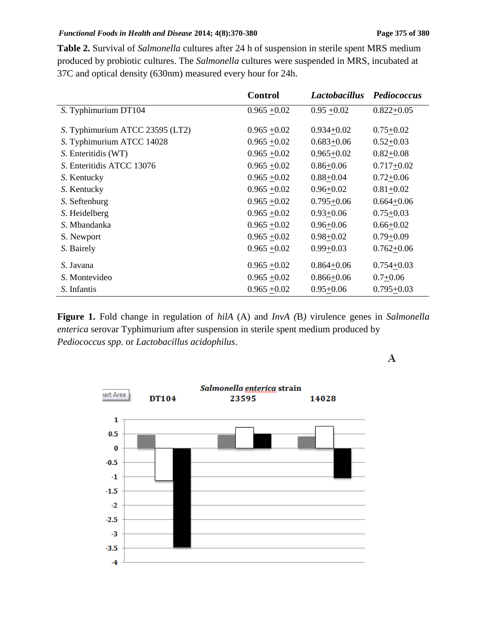### *Functional Foods in Health and Disease* 2014; 4(8):370-380 **Page 375** of 380

**Table 2.** Survival of *Salmonella* cultures after 24 h of suspension in sterile spent MRS medium produced by probiotic cultures. The *Salmonella* cultures were suspended in MRS, incubated at 37C and optical density (630nm) measured every hour for 24h.

|                                 | <b>Control</b> | <b>Lactobacillus</b> | Pediococcus    |
|---------------------------------|----------------|----------------------|----------------|
| S. Typhimurium DT104            | $0.965 + 0.02$ | $0.95 + 0.02$        | $0.822+0.05$   |
|                                 |                |                      |                |
| S. Typhimurium ATCC 23595 (LT2) | $0.965 + 0.02$ | $0.934 + 0.02$       | $0.75 + 0.02$  |
| S. Typhimurium ATCC 14028       | $0.965 + 0.02$ | $0.683 + 0.06$       | $0.52 + 0.03$  |
| S. Enteritidis (WT)             | $0.965 + 0.02$ | $0.965 + 0.02$       | $0.82 + 0.08$  |
| S. Enteritidis ATCC 13076       | $0.965 + 0.02$ | $0.86 + 0.06$        | $0.717 + 0.02$ |
| S. Kentucky                     | $0.965 + 0.02$ | $0.88 + 0.04$        | $0.72 + 0.06$  |
| S. Kentucky                     | $0.965 + 0.02$ | $0.96 + 0.02$        | $0.81 + 0.02$  |
| S. Seftenburg                   | $0.965 + 0.02$ | $0.795 + 0.06$       | $0.664 + 0.06$ |
| S. Heidelberg                   | $0.965 + 0.02$ | $0.93 + 0.06$        | $0.75 + 0.03$  |
| S. Mbandanka                    | $0.965 + 0.02$ | $0.96 + 0.06$        | $0.66 + 0.02$  |
| S. Newport                      | $0.965 + 0.02$ | $0.98 + 0.02$        | $0.79 + 0.09$  |
| S. Bairely                      | $0.965 + 0.02$ | $0.99 + 0.03$        | $0.762 + 0.06$ |
| S. Javana                       | $0.965 + 0.02$ | $0.864 + 0.06$       | $0.754 + 0.03$ |
| S. Montevideo                   | $0.965 + 0.02$ | $0.866 + 0.06$       | $0.7+0.06$     |
|                                 |                |                      |                |
| S. Infantis                     | $0.965 + 0.02$ | $0.95 + 0.06$        | $0.795 + 0.03$ |

**Figure 1.** Fold change in regulation of *hilA* (A) and *InvA (*B*)* virulence genes in *Salmonella enterica* serovar Typhimurium after suspension in sterile spent medium produced by *Pediococcus spp.* or *Lactobacillus acidophilus*.

A

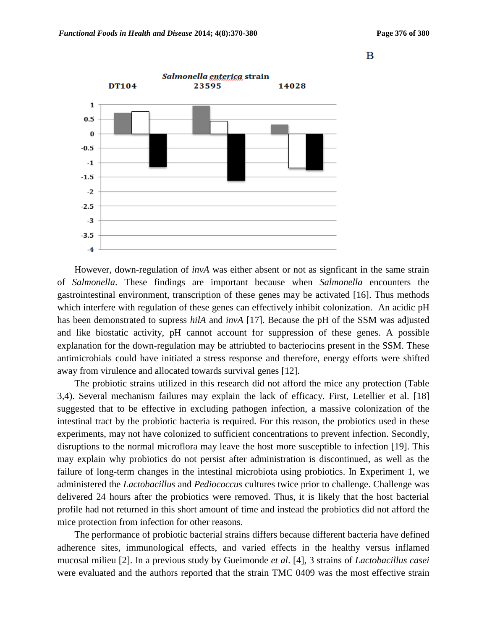B



However, down-regulation of *invA* was either absent or not as signficant in the same strain of *Salmonella*. These findings are important because when *Salmonella* encounters the gastrointestinal environment, transcription of these genes may be activated [16]. Thus methods which interfere with regulation of these genes can effectively inhibit colonization. An acidic pH has been demonstrated to supress *hilA* and *invA* [17]. Because the pH of the SSM was adjusted and like biostatic activity, pH cannot account for suppression of these genes. A possible explanation for the down-regulation may be attriubted to bacteriocins present in the SSM. These antimicrobials could have initiated a stress response and therefore, energy efforts were shifted away from virulence and allocated towards survival genes [12].

The probiotic strains utilized in this research did not afford the mice any protection (Table 3,4). Several mechanism failures may explain the lack of efficacy. First, Letellier et al. [18] suggested that to be effective in excluding pathogen infection, a massive colonization of the intestinal tract by the probiotic bacteria is required. For this reason, the probiotics used in these experiments, may not have colonized to sufficient concentrations to prevent infection. Secondly, disruptions to the normal microflora may leave the host more susceptible to infection [19]. This may explain why probiotics do not persist after administration is discontinued, as well as the failure of long-term changes in the intestinal microbiota using probiotics. In Experiment 1, we administered the *Lactobacillus* and *Pediococcus* cultures twice prior to challenge. Challenge was delivered 24 hours after the probiotics were removed. Thus, it is likely that the host bacterial profile had not returned in this short amount of time and instead the probiotics did not afford the mice protection from infection for other reasons.

The performance of probiotic bacterial strains differs because different bacteria have defined adherence sites, immunological effects, and varied effects in the healthy versus inflamed mucosal milieu [2]. In a previous study by Gueimonde *et al*. [4], 3 strains of *Lactobacillus casei*  were evaluated and the authors reported that the strain TMC 0409 was the most effective strain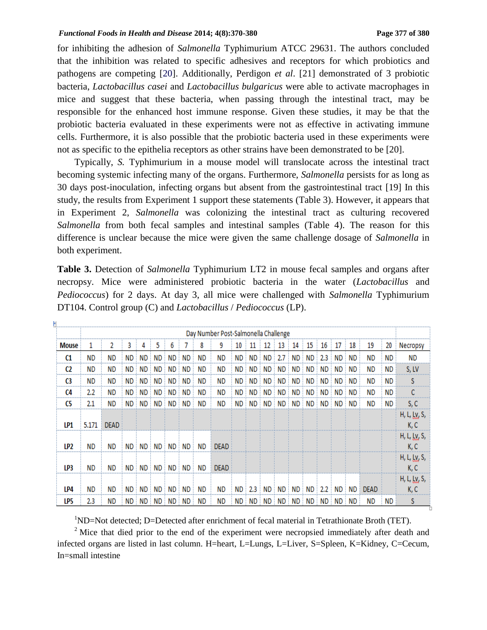for inhibiting the adhesion of *Salmonella* Typhimurium ATCC 29631. The authors concluded that the inhibition was related to specific adhesives and receptors for which probiotics and pathogens are competing [20]. Additionally, Perdigon *et al*. [21] demonstrated of 3 probiotic bacteria, *Lactobacillus casei* and *Lactobacillus bulgaricus* were able to activate macrophages in mice and suggest that these bacteria, when passing through the intestinal tract, may be responsible for the enhanced host immune response. Given these studies, it may be that the probiotic bacteria evaluated in these experiments were not as effective in activating immune cells. Furthermore, it is also possible that the probiotic bacteria used in these experiments were not as specific to the epithelia receptors as other strains have been demonstrated to be [20].

Typically, *S.* Typhimurium in a mouse model will translocate across the intestinal tract becoming systemic infecting many of the organs. Furthermore, *Salmonella* persists for as long as 30 days post-inoculation, infecting organs but absent from the gastrointestinal tract [19] In this study, the results from Experiment 1 support these statements (Table 3). However, it appears that in Experiment 2, *Salmonella* was colonizing the intestinal tract as culturing recovered *Salmonella* from both fecal samples and intestinal samples (Table 4). The reason for this difference is unclear because the mice were given the same challenge dosage of *Salmonella* in both experiment.

| <b>Table 3.</b> Detection of <i>Salmonella</i> Typhimurium LT2 in mouse fecal samples and organs after |
|--------------------------------------------------------------------------------------------------------|
| necropsy. Mice were administered probiotic bacteria in the water ( <i>Lactobacillus</i> and            |
| <i>Pediococcus</i> ) for 2 days. At day 3, all mice were challenged with <i>Salmonella</i> Typhimurium |
| DT104. Control group (C) and <i>Lactobacillus / Pediococcus</i> (LP).                                  |

|              | Day Number Post-Salmonella Challenge |             |           |      |           |           |           |     |             |           |                  |     |           |      |           |     |      |      |             |     |                              |
|--------------|--------------------------------------|-------------|-----------|------|-----------|-----------|-----------|-----|-------------|-----------|------------------|-----|-----------|------|-----------|-----|------|------|-------------|-----|------------------------------|
| <b>Mouse</b> | 1                                    | 2           | 3         | 4    | 5         | 6         |           | 8   | 9           | 10        | 11               | 12  | 13        | 14   | 15        | 16  | 17   | 18   | 19          | 20  | Necropsy                     |
| C1           | ND.                                  | ND.         | ND        | ND   | <b>ND</b> | ND        | ND        | ND  | ΝD          | ND        | ND               | ND  | 2.7       | ND   | ND        | 2.3 | ND   | ND.  | <b>ND</b>   | ND  | ND.                          |
| C2           | <b>ND</b>                            | <b>ND</b>   | <b>ND</b> | ND   | <b>ND</b> | <b>ND</b> | <b>ND</b> | ND  | ΝD          | <b>ND</b> | ND               | ND. | <b>ND</b> | ND   | <b>ND</b> | ND. | ND   | ND   | <b>ND</b>   | ND  | S, LV                        |
| C3           | <b>ND</b>                            | ND          | <b>ND</b> | ND.  | ND.       | ND.       | ND        | ΝD  | ND          | ND.       | ND               | ND. | ND.       | ND   | <b>ND</b> | ND. | ND.  | ND.  | ND          | ND  | S                            |
| C4           | 2.2                                  | <b>ND</b>   | ND        | ND   | ND        | <b>ND</b> | ND        | ND  | ND          | ND        | ND               | ND  | <b>ND</b> | ND   | ND        | ND  | ND   | ND.  | <b>ND</b>   | ND  |                              |
| C5           | 2.1                                  | ND.         | ND.       | ND.  | <b>ND</b> | ND.       | ND        | ND. | ND          | <b>ND</b> | ND               | ND  | <b>ND</b> | ND   | ND        | ND  | ND   | ND.  | <b>ND</b>   | ND  | S, C                         |
| LP1          | 5.171                                | <b>DEAD</b> |           |      |           |           |           |     |             |           |                  |     |           |      |           |     |      |      |             |     | H, L, <u>Ly</u> , S,<br>K, C |
| LP2          | ND.                                  | ND.         | ND.       | ND : | ND i      | ND.       | ND.       | ND  | <b>DEAD</b> |           |                  |     |           |      |           |     |      |      |             |     | H, L, <u>Ly</u> , S,<br>K, C |
| LP3          | <b>ND</b>                            | <b>ND</b>   | ND.       | ND   | ND.       | ND.       | ND.       | ND  | <b>DEAD</b> |           |                  |     |           |      |           |     |      |      |             |     | H, L, <u>Ly</u> , S,<br>K, C |
| LP4          | ND.                                  | ND          | ND        | ND   | ND i      | ND.       | ND        | ND  | ND          | ND.       | 2.3 <sup>1</sup> |     | ND   ND   | ND.  | ND        | 2.2 | ND   | : ND | <b>DEAD</b> |     | H, L, <u>Ly</u> , S,<br>K, C |
| LP5          | 2.3                                  | ND          | ND.       | ND i | ND        | ND.       | ND.       | ND. | ND          | ND.       | ND               | ND. | : ND      | ND i | ND i      | ND  | ND i | ND   | <b>ND</b>   | ND. | S                            |

 $1$ ND=Not detected; D=Detected after enrichment of fecal material in Tetrathionate Broth (TET).

<sup>2</sup> Mice that died prior to the end of the experiment were necropsied immediately after death and infected organs are listed in last column. H=heart, L=Lungs, L=Liver, S=Spleen, K=Kidney, C=Cecum, In=small intestine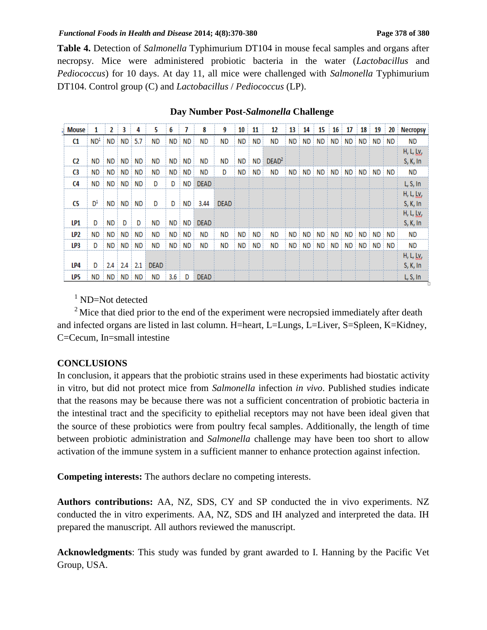### *Functional Foods in Health and Disease* 2014; 4(8):370-380 **Page 378** of 380

**Table 4.** Detection of *Salmonella* Typhimurium DT104 in mouse fecal samples and organs after necropsy. Mice were administered probiotic bacteria in the water (*Lactobacillus* and *Pediococcus*) for 10 days. At day 11, all mice were challenged with *Salmonella* Typhimurium DT104. Control group (C) and *Lactobacillus* / *Pediococcus* (LP).

| <b>Mouse</b> | 1               | 2         | 3         | 4         | 5           | 6                | 7         | 8           | 9           | 10 | 11   | 12                | 13   | 14  | 15   | 16 | 17    | 18   | 19    | 20    | <b>Necropsy</b>               |
|--------------|-----------------|-----------|-----------|-----------|-------------|------------------|-----------|-------------|-------------|----|------|-------------------|------|-----|------|----|-------|------|-------|-------|-------------------------------|
| C1           | ND <sup>1</sup> |           | ND ND     | 5.7       | <b>ND</b>   | ND.              | ND.       | <b>ND</b>   | ND.         | ND | ND.  | <b>ND</b>         | ND.  | ND. | ND ! |    | ND ND | ND i | ND ND |       | ND.                           |
| C2           | ND.             |           | ND ND     | ND        | ND          | ND               | ND.       | ND          | ND.         | ND | ND ! | DEAD <sup>2</sup> |      |     |      |    |       |      |       |       | H, L, <u>Ly</u> ,<br>S, K, In |
| C3           | ND.             |           | ND ND     | ND        | ND          | ND               | <b>ND</b> | ND          | D           | ND | ND   | ND                | ND i | ND  | ND ! |    | ND ND | ND I | ND ND |       | <b>ND</b>                     |
| C4           | ND.             |           | ND ND     | ND        | D           | D                | ND        | <b>DEAD</b> |             |    |      |                   |      |     |      |    |       |      |       |       | L, S, In                      |
| C5           | D <sup>1</sup>  |           | ND ND     | <b>ND</b> | D           | D                | ND.       | 3.44        | <b>DEAD</b> |    |      |                   |      |     |      |    |       |      |       |       | H, L, <u>Ly</u> ,<br>S, K, In |
| LP1          | D               | <b>ND</b> | D         | D         | ND          | ND !             | ND        | <b>DEAD</b> |             |    |      |                   |      |     |      |    |       |      |       |       | H, L, Ly,<br>S, K, In         |
| LP2          | <b>ND</b>       | ND i      | <b>ND</b> | <b>ND</b> | ΝD          | ND               | ND        | ND          | <b>ND</b>   | ND | ND.  | <b>ND</b>         | ND i | ND. | ND   |    | ND ND | ND   |       | ND ND | ND                            |
| LP3          | D               | ND        | ND.       | ND        | ND          | ND.              | <b>ND</b> | <b>ND</b>   | <b>ND</b>   | ND | ND   | <b>ND</b>         | ND i | ND  | ND   |    | ND ND | ND   | ND :  | ND    | <b>ND</b>                     |
| LP4          | D               |           | $2.4$ 2.4 | 2.1       | <b>DEAD</b> |                  |           |             |             |    |      |                   |      |     |      |    |       |      |       |       | H, L, <u>Ly</u> ,<br>S, K, In |
| LP5          | ND.             |           | ND ND ND  |           | ND          | 3.6 <sup>1</sup> | D         | <b>DEAD</b> |             |    |      |                   |      |     |      |    |       |      |       |       | L, S, In                      |

### **Day Number Post-***Salmonella* **Challenge**

 $1$  ND=Not detected

 $2^{\circ}$  Mice that died prior to the end of the experiment were necropsied immediately after death and infected organs are listed in last column. H=heart, L=Lungs, L=Liver, S=Spleen, K=Kidney, C=Cecum, In=small intestine

# **CONCLUSIONS**

In conclusion, it appears that the probiotic strains used in these experiments had biostatic activity in vitro, but did not protect mice from *Salmonella* infection *in vivo*. Published studies indicate that the reasons may be because there was not a sufficient concentration of probiotic bacteria in the intestinal tract and the specificity to epithelial receptors may not have been ideal given that the source of these probiotics were from poultry fecal samples. Additionally, the length of time between probiotic administration and *Salmonella* challenge may have been too short to allow activation of the immune system in a sufficient manner to enhance protection against infection.

**Competing interests:** The authors declare no competing interests.

**Authors contributions:** AA, NZ, SDS, CY and SP conducted the in vivo experiments. NZ conducted the in vitro experiments. AA, NZ, SDS and IH analyzed and interpreted the data. IH prepared the manuscript. All authors reviewed the manuscript.

**Acknowledgments**: This study was funded by grant awarded to I. Hanning by the Pacific Vet Group, USA.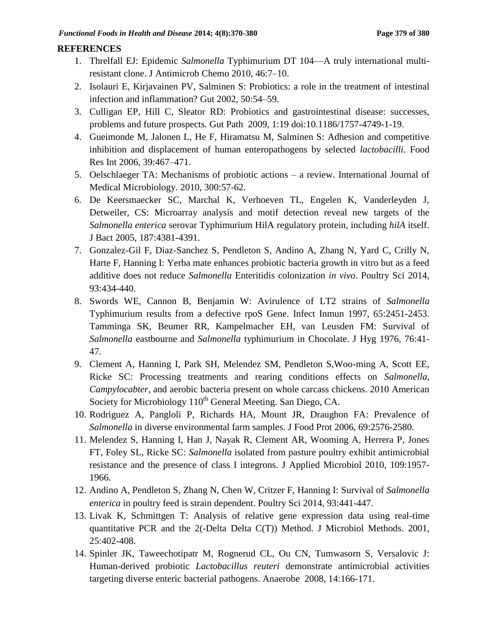### **REFERENCES**

- 1. Threlfall EJ: Epidemic *Salmonella* Typhimurium DT 104—A truly international multiresistant clone. J Antimicrob Chemo 2010, 46:7–10.
- 2. Isolauri E, Kirjavainen PV, Salminen S: Probiotics: a role in the treatment of intestinal infection and inflammation? Gut 2002, 50:54–59.
- 3. Culligan EP, Hill C, Sleator RD: Probiotics and gastrointestinal disease: successes, problems and future prospects. Gut Path 2009, 1:19 doi:10.1186/1757-4749-1-19.
- 4. Gueimonde M, Jalonen L, He F, Hiramatsu M, Salminen S: Adhesion and competitive inhibition and displacement of human enteropathogens by selected *lactobacilli*. Food Res Int 2006, 39:467–471.
- 5. Oelschlaeger TA: Mechanisms of probiotic actions a review. International Journal of Medical Microbiology. 2010, 300:57-62.
- 6. De Keersmaecker SC, Marchal K, Verhoeven TL, Engelen K, Vanderleyden J, Detweiler, CS: Microarray analysis and motif detection reveal new targets of the *Salmonella enterica* serovar Typhimurium HilA regulatory protein, including *hilA* itself. J Bact 2005, 187:4381-4391.
- 7. Gonzalez-Gil F, Diaz-Sanchez S, Pendleton S, Andino A, Zhang N, Yard C, Crilly N, Harte F, Hanning I: Yerba mate enhances probiotic bacteria growth in vitro but as a feed additive does not reduce *Salmonella* Enteritidis colonization *in vivo*. Poultry Sci 2014, 93:434-440.
- 8. Swords WE, Cannon B, Benjamin W: Avirulence of LT2 strains of *Salmonella* Typhimurium results from a defective rpoS Gene. Infect Inmun 1997, 65:2451-2453. Tamminga SK, Beumer RR, Kampelmacher EH, van Leusden FM: Survival of *Salmonella* eastbourne and *Salmonella* typhimurium in Chocolate. J Hyg 1976, 76:41- 47.
- 9. Clement A, Hanning I, Park SH, Melendez SM, Pendleton S,Woo-ming A, Scott EE, Ricke SC: Processing treatments and rearing conditions effects on *Salmonella*, *Campylocabter*, and aerobic bacteria present on whole carcass chickens. 2010 American Society for Microbiology 110<sup>th</sup> General Meeting. San Diego, CA.
- 10. Rodriguez A, Pangloli P, Richards HA, Mount JR, Draughon FA: Prevalence of *Salmonella* in diverse environmental farm samples. J Food Prot 2006, 69:2576-2580.
- 11. Melendez S, Hanning I, Han J, Nayak R, Clement AR, Wooming A, Herrera P, Jones FT, Foley SL, Ricke SC: *Salmonella* isolated from pasture poultry exhibit antimicrobial resistance and the presence of class I integrons. J Applied Microbiol 2010, 109:1957- 1966.
- 12. Andino A, Pendleton S, Zhang N, Chen W, Critzer F, Hanning I: Survival of *Salmonella enterica* in poultry feed is strain dependent. Poultry Sci 2014, 93:441-447.
- 13. Livak K, Schmittgen T: Analysis of relative gene expression data using real-time quantitative PCR and the 2(-Delta Delta C(T)) Method. J Microbiol Methods. 2001, 25:402-408.
- 14. Spinler JK, Taweechotipatr M, Rognerud CL, Ou CN, Tumwasorn S, Versalovic J: Human-derived probiotic *Lactobacillus reuteri* demonstrate antimicrobial activities targeting diverse enteric bacterial pathogens. Anaerobe 2008, 14:166-171.